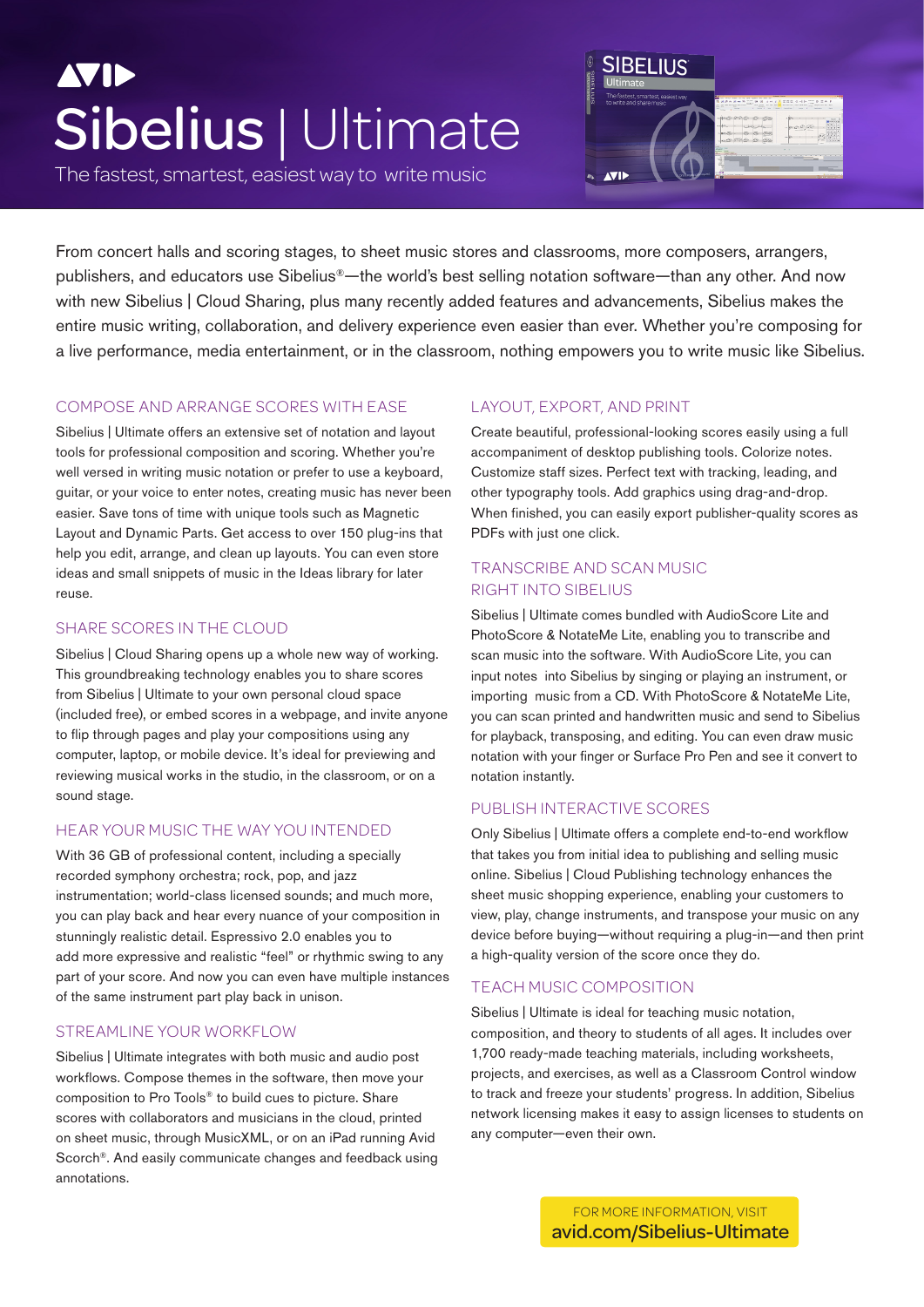# **AVIE** Sibelius | Ultimate

The fastest, smartest, easiest way to write music



From concert halls and scoring stages, to sheet music stores and classrooms, more composers, arrangers, publishers, and educators use Sibelius®—the world's best selling notation software—than any other. And now with new Sibelius | Cloud Sharing, plus many recently added features and advancements, Sibelius makes the entire music writing, collaboration, and delivery experience even easier than ever. Whether you're composing for a live performance, media entertainment, or in the classroom, nothing empowers you to write music like Sibelius.

## COMPOSE AND ARRANGE SCORES WITH EASE

Sibelius | Ultimate offers an extensive set of notation and layout tools for professional composition and scoring. Whether you're well versed in writing music notation or prefer to use a keyboard, guitar, or your voice to enter notes, creating music has never been easier. Save tons of time with unique tools such as Magnetic Layout and Dynamic Parts. Get access to over 150 plug-ins that help you edit, arrange, and clean up layouts. You can even store ideas and small snippets of music in the Ideas library for later reuse.

## SHARE SCORES IN THE CLOUD

Sibelius | Cloud Sharing opens up a whole new way of working. This groundbreaking technology enables you to share scores from Sibelius | Ultimate to your own personal cloud space (included free), or embed scores in a webpage, and invite anyone to flip through pages and play your compositions using any computer, laptop, or mobile device. It's ideal for previewing and reviewing musical works in the studio, in the classroom, or on a sound stage.

## HEAR YOUR MUSIC THE WAY YOU INTENDED

With 36 GB of professional content, including a specially recorded symphony orchestra; rock, pop, and jazz instrumentation; world-class licensed sounds; and much more, you can play back and hear every nuance of your composition in stunningly realistic detail. Espressivo 2.0 enables you to add more expressive and realistic "feel" or rhythmic swing to any part of your score. And now you can even have multiple instances of the same instrument part play back in unison.

## STREAMLINE YOUR WORKELOW

Sibelius | Ultimate integrates with both music and audio post workflows. Compose themes in the software, then move your composition to Pro Tools® to build cues to picture. Share scores with collaborators and musicians in the cloud, printed on sheet music, through MusicXML, or on an iPad running Avid Scorch®. And easily communicate changes and feedback using annotations.

## LAYOUT, EXPORT, AND PRINT

Create beautiful, professional-looking scores easily using a full accompaniment of desktop publishing tools. Colorize notes. Customize staff sizes. Perfect text with tracking, leading, and other typography tools. Add graphics using drag-and-drop. When finished, you can easily export publisher-quality scores as PDFs with just one click.

## TRANSCRIBE AND SCAN MUSIC RIGHT INTO SIBELIUS

Sibelius | Ultimate comes bundled with AudioScore Lite and PhotoScore & NotateMe Lite, enabling you to transcribe and scan music into the software. With AudioScore Lite, you can input notes into Sibelius by singing or playing an instrument, or importing music from a CD. With PhotoScore & NotateMe Lite, you can scan printed and handwritten music and send to Sibelius for playback, transposing, and editing. You can even draw music notation with your finger or Surface Pro Pen and see it convert to notation instantly.

## PUBLISH INTERACTIVE SCORES

Only Sibelius | Ultimate offers a complete end-to-end workflow that takes you from initial idea to publishing and selling music online. Sibelius | Cloud Publishing technology enhances the sheet music shopping experience, enabling your customers to view, play, change instruments, and transpose your music on any device before buying—without requiring a plug-in—and then print a high-quality version of the score once they do.

## TEACH MUSIC COMPOSITION

Sibelius | Ultimate is ideal for teaching music notation, composition, and theory to students of all ages. It includes over 1,700 ready-made teaching materials, including worksheets, projects, and exercises, as well as a Classroom Control window to track and freeze your students' progress. In addition, Sibelius network licensing makes it easy to assign licenses to students on any computer—even their own.